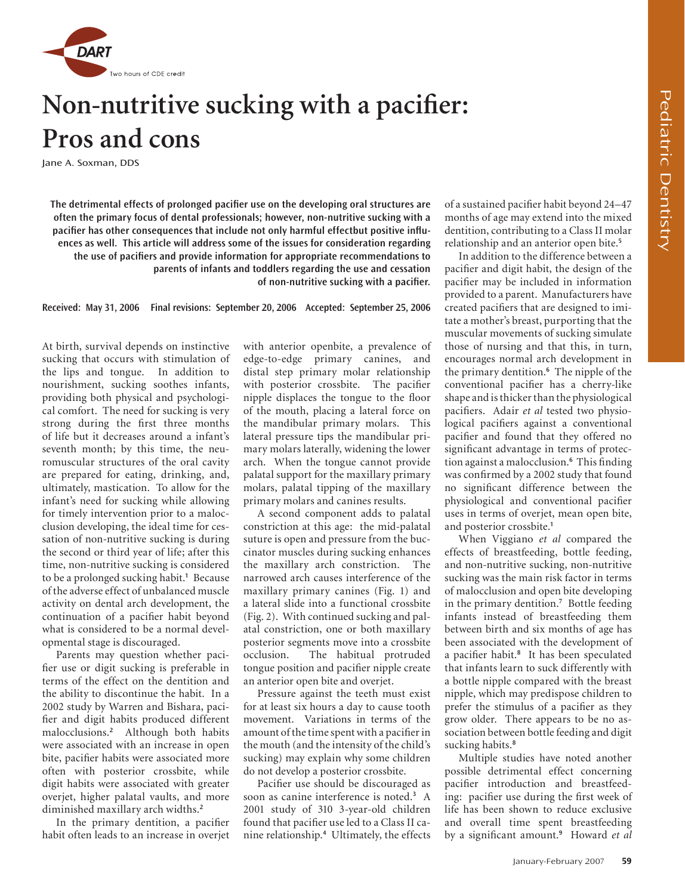

# **Non-nutritive sucking with a pacifier: Pros and cons**

Jane A. Soxman, DDS

**The detrimental effects of prolonged pacifier use on the developing oral structures are often the primary focus of dental professionals; however, non-nutritive sucking with a pacifier has other consequences that include not only harmful effectbut positive influences as well. This article will address some of the issues for consideration regarding the use of pacifiers and provide information for appropriate recommendations to parents of infants and toddlers regarding the use and cessation of non-nutritive sucking with a pacifier.** 

**Received: May 31, 2006 Final revisions: September 20, 2006 Accepted: September 25, 2006**

At birth, survival depends on instinctive sucking that occurs with stimulation of the lips and tongue. In addition to nourishment, sucking soothes infants, providing both physical and psychological comfort. The need for sucking is very strong during the first three months of life but it decreases around a infant's seventh month; by this time, the neuromuscular structures of the oral cavity are prepared for eating, drinking, and, ultimately, mastication. To allow for the infant's need for sucking while allowing for timely intervention prior to a malocclusion developing, the ideal time for cessation of non-nutritive sucking is during the second or third year of life; after this time, non-nutritive sucking is considered to be a prolonged sucking habit.**<sup>1</sup>** Because of the adverse effect of unbalanced muscle activity on dental arch development, the continuation of a pacifier habit beyond what is considered to be a normal developmental stage is discouraged.

Parents may question whether pacifier use or digit sucking is preferable in terms of the effect on the dentition and the ability to discontinue the habit. In a 2002 study by Warren and Bishara, pacifier and digit habits produced different malocclusions.**<sup>2</sup>** Although both habits were associated with an increase in open bite, pacifier habits were associated more often with posterior crossbite, while digit habits were associated with greater overjet, higher palatal vaults, and more diminished maxillary arch widths.**<sup>2</sup>**

In the primary dentition, a pacifier habit often leads to an increase in overjet with anterior openbite, a prevalence of edge-to-edge primary canines, and distal step primary molar relationship with posterior crossbite. The pacifier nipple displaces the tongue to the floor of the mouth, placing a lateral force on the mandibular primary molars. This lateral pressure tips the mandibular primary molars laterally, widening the lower arch. When the tongue cannot provide palatal support for the maxillary primary molars, palatal tipping of the maxillary primary molars and canines results.

A second component adds to palatal constriction at this age: the mid-palatal suture is open and pressure from the buccinator muscles during sucking enhances the maxillary arch constriction. The narrowed arch causes interference of the maxillary primary canines (Fig. 1) and a lateral slide into a functional crossbite (Fig. 2). With continued sucking and palatal constriction, one or both maxillary posterior segments move into a crossbite occlusion. The habitual protruded tongue position and pacifier nipple create an anterior open bite and overjet.

Pressure against the teeth must exist for at least six hours a day to cause tooth movement. Variations in terms of the amount of the time spent with a pacifier in the mouth (and the intensity of the child's sucking) may explain why some children do not develop a posterior crossbite.

Pacifier use should be discouraged as soon as canine interference is noted.**<sup>3</sup>** A 2001 study of 310 3-year-old children found that pacifier use led to a Class II canine relationship.**<sup>4</sup>** Ultimately, the effects

of a sustained pacifier habit beyond 24–47 months of age may extend into the mixed dentition, contributing to a Class II molar relationship and an anterior open bite.**<sup>5</sup>**

In addition to the difference between a pacifier and digit habit, the design of the pacifier may be included in information provided to a parent. Manufacturers have created pacifiers that are designed to imitate a mother's breast, purporting that the muscular movements of sucking simulate those of nursing and that this, in turn, encourages normal arch development in the primary dentition.**<sup>6</sup>** The nipple of the conventional pacifier has a cherry-like shape and is thicker than the physiological pacifiers. Adair *et al* tested two physiological pacifiers against a conventional pacifier and found that they offered no significant advantage in terms of protection against a malocclusion.**<sup>6</sup>** This finding was confirmed by a 2002 study that found no significant difference between the physiological and conventional pacifier uses in terms of overjet, mean open bite, and posterior crossbite.**<sup>1</sup>**

When Viggiano *et al* compared the effects of breastfeeding, bottle feeding, and non-nutritive sucking, non-nutritive sucking was the main risk factor in terms of malocclusion and open bite developing in the primary dentition.**<sup>7</sup>** Bottle feeding infants instead of breastfeeding them between birth and six months of age has been associated with the development of a pacifier habit.**<sup>8</sup>** It has been speculated that infants learn to suck differently with a bottle nipple compared with the breast nipple, which may predispose children to prefer the stimulus of a pacifier as they grow older. There appears to be no association between bottle feeding and digit sucking habits.**<sup>8</sup>**

Multiple studies have noted another possible detrimental effect concerning pacifier introduction and breastfeeding: pacifier use during the first week of life has been shown to reduce exclusive and overall time spent breastfeeding by a significant amount.**<sup>9</sup>** Howard *et al*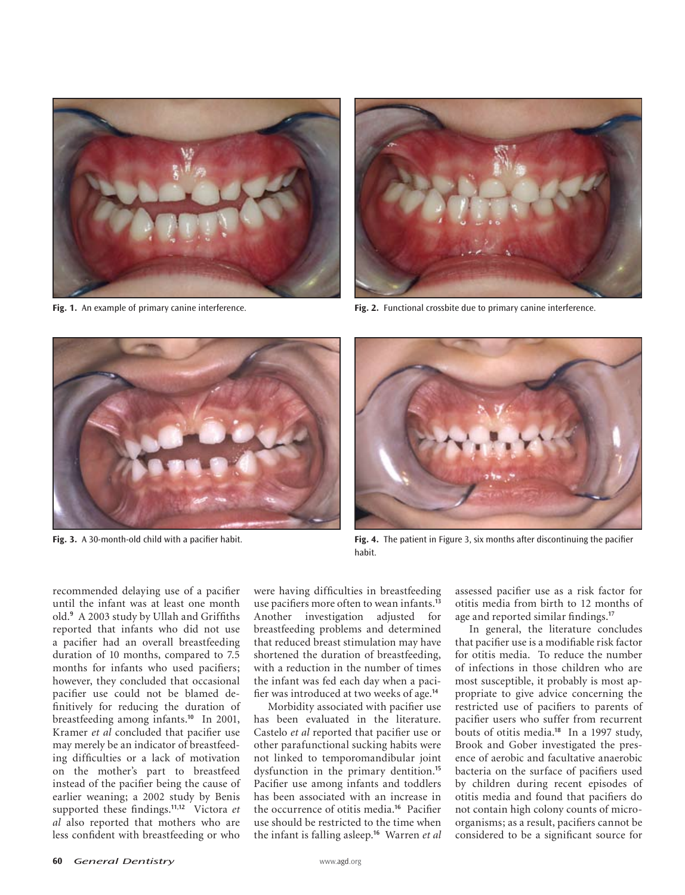



**Fig. 1.** An example of primary canine interference. **Fig. 2.** Functional crossbite due to primary canine interference.





**Fig. 3.** A 30-month-old child with a pacifier habit. **Fig. 4.** The patient in Figure 3, six months after discontinuing the pacifier habit.

recommended delaying use of a pacifier until the infant was at least one month old.**<sup>9</sup>** A 2003 study by Ullah and Griffiths reported that infants who did not use a pacifier had an overall breastfeeding duration of 10 months, compared to 7.5 months for infants who used pacifiers; however, they concluded that occasional pacifier use could not be blamed definitively for reducing the duration of breastfeeding among infants.**<sup>10</sup>** In 2001, Kramer *et al* concluded that pacifier use may merely be an indicator of breastfeeding difficulties or a lack of motivation on the mother's part to breastfeed instead of the pacifier being the cause of earlier weaning; a 2002 study by Benis supported these findings.**11,12** Victora *et al* also reported that mothers who are less confident with breastfeeding or who

were having difficulties in breastfeeding use pacifiers more often to wean infants.**<sup>13</sup>** Another investigation adjusted for breastfeeding problems and determined that reduced breast stimulation may have shortened the duration of breastfeeding, with a reduction in the number of times the infant was fed each day when a pacifier was introduced at two weeks of age.**<sup>14</sup>**

Morbidity associated with pacifier use has been evaluated in the literature. Castelo *et al* reported that pacifier use or other parafunctional sucking habits were not linked to temporomandibular joint dysfunction in the primary dentition.**<sup>15</sup>** Pacifier use among infants and toddlers has been associated with an increase in the occurrence of otitis media.**<sup>16</sup>** Pacifier use should be restricted to the time when the infant is falling asleep.**<sup>16</sup>** Warren *et al*

assessed pacifier use as a risk factor for otitis media from birth to 12 months of age and reported similar findings.**<sup>17</sup>**

In general, the literature concludes that pacifier use is a modifiable risk factor for otitis media. To reduce the number of infections in those children who are most susceptible, it probably is most appropriate to give advice concerning the restricted use of pacifiers to parents of pacifier users who suffer from recurrent bouts of otitis media.**<sup>18</sup>** In a 1997 study, Brook and Gober investigated the presence of aerobic and facultative anaerobic bacteria on the surface of pacifiers used by children during recent episodes of otitis media and found that pacifiers do not contain high colony counts of microorganisms; as a result, pacifiers cannot be considered to be a significant source for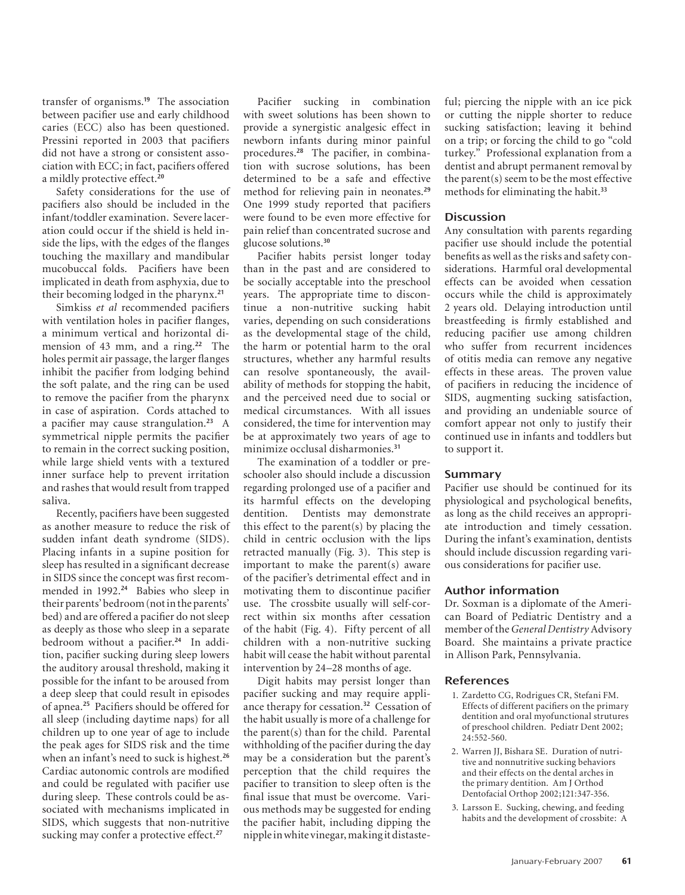transfer of organisms.**<sup>19</sup>** The association between pacifier use and early childhood caries (ECC) also has been questioned. Pressini reported in 2003 that pacifiers did not have a strong or consistent association with ECC; in fact, pacifiers offered a mildly protective effect.**<sup>20</sup>**

Safety considerations for the use of pacifiers also should be included in the infant/toddler examination. Severe laceration could occur if the shield is held inside the lips, with the edges of the flanges touching the maxillary and mandibular mucobuccal folds. Pacifiers have been implicated in death from asphyxia, due to their becoming lodged in the pharynx.**<sup>21</sup>**

Simkiss *et al* recommended pacifiers with ventilation holes in pacifier flanges, a minimum vertical and horizontal dimension of 43 mm, and a ring.**<sup>22</sup>** The holes permit air passage, the larger flanges inhibit the pacifier from lodging behind the soft palate, and the ring can be used to remove the pacifier from the pharynx in case of aspiration. Cords attached to a pacifier may cause strangulation.**<sup>23</sup>** A symmetrical nipple permits the pacifier to remain in the correct sucking position, while large shield vents with a textured inner surface help to prevent irritation and rashes that would result from trapped saliva.

Recently, pacifiers have been suggested as another measure to reduce the risk of sudden infant death syndrome (SIDS). Placing infants in a supine position for sleep has resulted in a significant decrease in SIDS since the concept was first recommended in 1992.**<sup>24</sup>** Babies who sleep in their parents' bedroom (not in the parents' bed) and are offered a pacifier do not sleep as deeply as those who sleep in a separate bedroom without a pacifier.**24** In addition, pacifier sucking during sleep lowers the auditory arousal threshold, making it possible for the infant to be aroused from a deep sleep that could result in episodes of apnea.**<sup>25</sup>** Pacifiers should be offered for all sleep (including daytime naps) for all children up to one year of age to include the peak ages for SIDS risk and the time when an infant's need to suck is highest.**<sup>26</sup>** Cardiac autonomic controls are modified and could be regulated with pacifier use during sleep. These controls could be associated with mechanisms implicated in SIDS, which suggests that non-nutritive sucking may confer a protective effect.**<sup>27</sup>**

Pacifier sucking in combination with sweet solutions has been shown to provide a synergistic analgesic effect in newborn infants during minor painful procedures.**28** The pacifier, in combination with sucrose solutions, has been determined to be a safe and effective method for relieving pain in neonates.**<sup>29</sup>** One 1999 study reported that pacifiers were found to be even more effective for pain relief than concentrated sucrose and glucose solutions.**<sup>30</sup>**

Pacifier habits persist longer today than in the past and are considered to be socially acceptable into the preschool years. The appropriate time to discontinue a non-nutritive sucking habit varies, depending on such considerations as the developmental stage of the child, the harm or potential harm to the oral structures, whether any harmful results can resolve spontaneously, the availability of methods for stopping the habit, and the perceived need due to social or medical circumstances. With all issues considered, the time for intervention may be at approximately two years of age to minimize occlusal disharmonies.**<sup>31</sup>**

The examination of a toddler or preschooler also should include a discussion regarding prolonged use of a pacifier and its harmful effects on the developing dentition. Dentists may demonstrate this effect to the parent(s) by placing the child in centric occlusion with the lips retracted manually (Fig. 3). This step is important to make the parent(s) aware of the pacifier's detrimental effect and in motivating them to discontinue pacifier use. The crossbite usually will self-correct within six months after cessation of the habit (Fig. 4). Fifty percent of all children with a non-nutritive sucking habit will cease the habit without parental intervention by 24–28 months of age.

Digit habits may persist longer than pacifier sucking and may require appliance therapy for cessation.**<sup>32</sup>** Cessation of the habit usually is more of a challenge for the parent(s) than for the child. Parental withholding of the pacifier during the day may be a consideration but the parent's perception that the child requires the pacifier to transition to sleep often is the final issue that must be overcome. Various methods may be suggested for ending the pacifier habit, including dipping the nipple in white vinegar, making it distasteful; piercing the nipple with an ice pick or cutting the nipple shorter to reduce sucking satisfaction; leaving it behind on a trip; or forcing the child to go "cold turkey." Professional explanation from a dentist and abrupt permanent removal by the parent(s) seem to be the most effective methods for eliminating the habit.**<sup>33</sup>**

## **Discussion**

Any consultation with parents regarding pacifier use should include the potential benefits as well as the risks and safety considerations. Harmful oral developmental effects can be avoided when cessation occurs while the child is approximately 2 years old. Delaying introduction until breastfeeding is firmly established and reducing pacifier use among children who suffer from recurrent incidences of otitis media can remove any negative effects in these areas. The proven value of pacifiers in reducing the incidence of SIDS, augmenting sucking satisfaction, and providing an undeniable source of comfort appear not only to justify their continued use in infants and toddlers but to support it.

## **Summary**

Pacifier use should be continued for its physiological and psychological benefits, as long as the child receives an appropriate introduction and timely cessation. During the infant's examination, dentists should include discussion regarding various considerations for pacifier use.

## **Author information**

Dr. Soxman is a diplomate of the American Board of Pediatric Dentistry and a member of the *General Dentistry* Advisory Board. She maintains a private practice in Allison Park, Pennsylvania.

### **References**

- 1. Zardetto CG, Rodrigues CR, Stefani FM. Effects of different pacifiers on the primary dentition and oral myofunctional strutures of preschool children. Pediatr Dent 2002; 24:552-560.
- 2. Warren JJ, Bishara SE. Duration of nutritive and nonnutritive sucking behaviors and their effects on the dental arches in the primary dentition. Am J Orthod Dentofacial Orthop 2002;121:347-356.
- 3. Larsson E. Sucking, chewing, and feeding habits and the development of crossbite: A